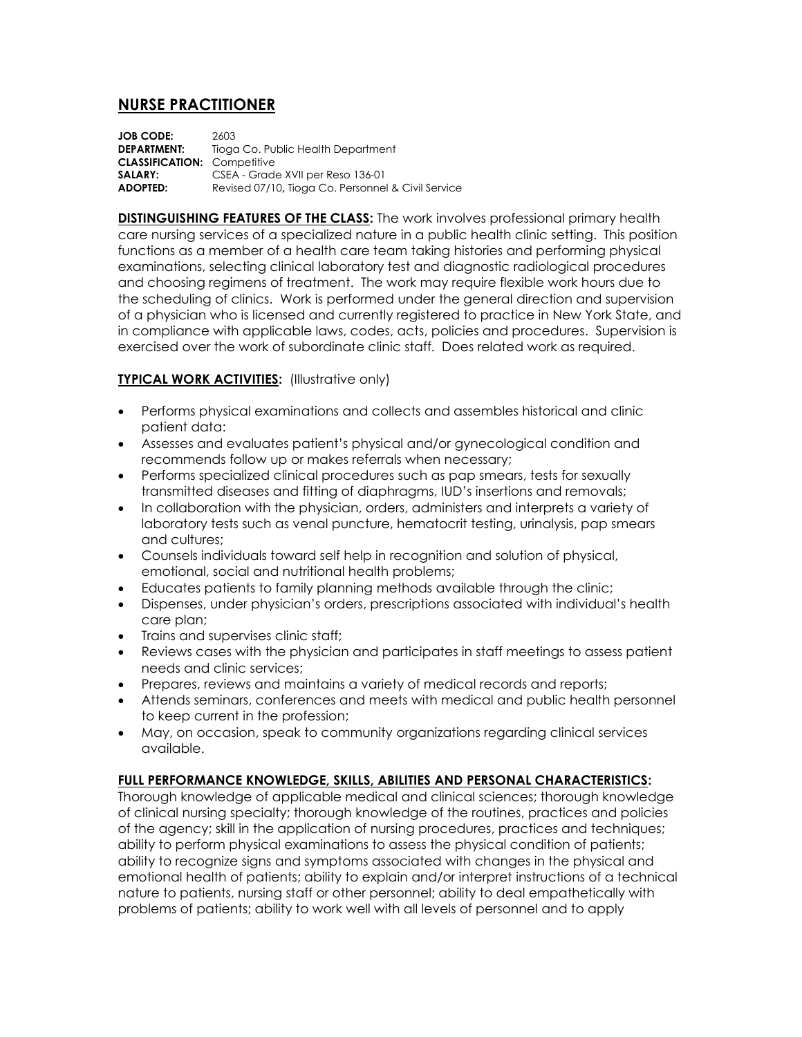## **NURSE PRACTITIONER**

| <b>JOB CODE:</b>                   | 2603                                               |
|------------------------------------|----------------------------------------------------|
| <b>DEPARTMENT:</b>                 | Tioga Co. Public Health Department                 |
| <b>CLASSIFICATION: Competitive</b> |                                                    |
| SALARY:                            | CSEA - Grade XVII per Reso 136-01                  |
| <b>ADOPTED:</b>                    | Revised 07/10, Tioga Co. Personnel & Civil Service |

**DISTINGUISHING FEATURES OF THE CLASS:** The work involves professional primary health care nursing services of a specialized nature in a public health clinic setting. This position functions as a member of a health care team taking histories and performing physical examinations, selecting clinical laboratory test and diagnostic radiological procedures and choosing regimens of treatment. The work may require flexible work hours due to the scheduling of clinics. Work is performed under the general direction and supervision of a physician who is licensed and currently registered to practice in New York State, and in compliance with applicable laws, codes, acts, policies and procedures. Supervision is exercised over the work of subordinate clinic staff. Does related work as required.

## **TYPICAL WORK ACTIVITIES:** (Illustrative only)

- Performs physical examinations and collects and assembles historical and clinic patient data:
- Assesses and evaluates patient's physical and/or gynecological condition and recommends follow up or makes referrals when necessary;
- Performs specialized clinical procedures such as pap smears, tests for sexually transmitted diseases and fitting of diaphragms, IUD's insertions and removals;
- In collaboration with the physician, orders, administers and interprets a variety of laboratory tests such as venal puncture, hematocrit testing, urinalysis, pap smears and cultures;
- Counsels individuals toward self help in recognition and solution of physical, emotional, social and nutritional health problems;
- Educates patients to family planning methods available through the clinic;
- Dispenses, under physician's orders, prescriptions associated with individual's health care plan;
- Trains and supervises clinic staff:
- Reviews cases with the physician and participates in staff meetings to assess patient needs and clinic services;
- Prepares, reviews and maintains a variety of medical records and reports;
- Attends seminars, conferences and meets with medical and public health personnel to keep current in the profession;
- May, on occasion, speak to community organizations regarding clinical services available.

## **FULL PERFORMANCE KNOWLEDGE, SKILLS, ABILITIES AND PERSONAL CHARACTERISTICS:**

Thorough knowledge of applicable medical and clinical sciences; thorough knowledge of clinical nursing specialty; thorough knowledge of the routines, practices and policies of the agency; skill in the application of nursing procedures, practices and techniques; ability to perform physical examinations to assess the physical condition of patients; ability to recognize signs and symptoms associated with changes in the physical and emotional health of patients; ability to explain and/or interpret instructions of a technical nature to patients, nursing staff or other personnel; ability to deal empathetically with problems of patients; ability to work well with all levels of personnel and to apply